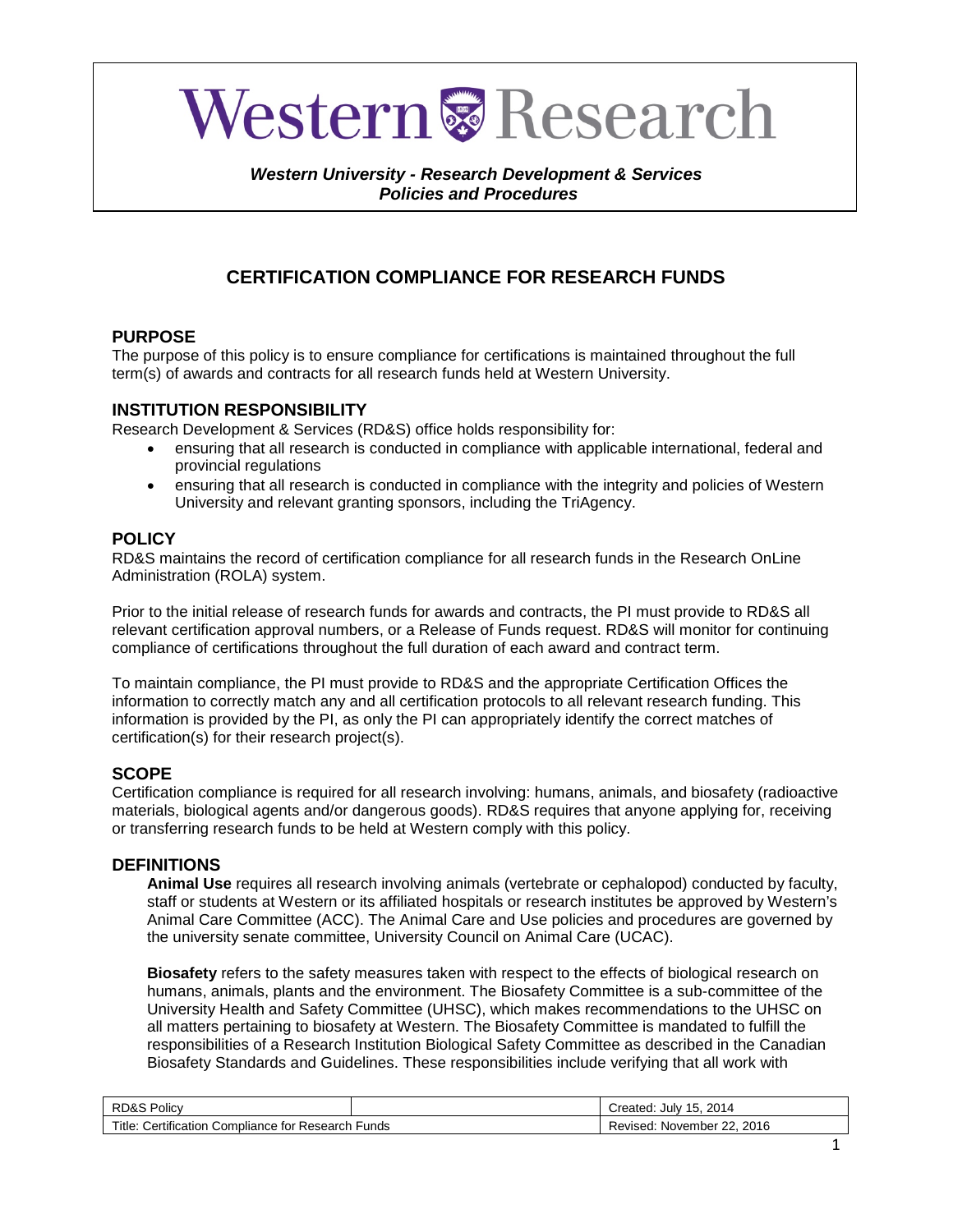# **Western & Research**

#### *Western University - Research Development & Services Policies and Procedures*

## **CERTIFICATION COMPLIANCE FOR RESEARCH FUNDS**

## **PURPOSE**

The purpose of this policy is to ensure compliance for certifications is maintained throughout the full term(s) of awards and contracts for all research funds held at Western University.

### **INSTITUTION RESPONSIBILITY**

Research Development & Services (RD&S) office holds responsibility for:

- ensuring that all research is conducted in compliance with applicable international, federal and provincial regulations
- ensuring that all research is conducted in compliance with the integrity and policies of Western University and relevant granting sponsors, including the TriAgency.

## **POLICY**

RD&S maintains the record of certification compliance for all research funds in the Research OnLine Administration (ROLA) system.

Prior to the initial release of research funds for awards and contracts, the PI must provide to RD&S all relevant certification approval numbers, or a Release of Funds request. RD&S will monitor for continuing compliance of certifications throughout the full duration of each award and contract term.

To maintain compliance, the PI must provide to RD&S and the appropriate Certification Offices the information to correctly match any and all certification protocols to all relevant research funding. This information is provided by the PI, as only the PI can appropriately identify the correct matches of certification(s) for their research project(s).

## **SCOPE**

Certification compliance is required for all research involving: humans, animals, and biosafety (radioactive materials, biological agents and/or dangerous goods). RD&S requires that anyone applying for, receiving or transferring research funds to be held at Western comply with this policy.

#### **DEFINITIONS**

**Animal Use** requires all research involving animals (vertebrate or cephalopod) conducted by faculty, staff or students at Western or its affiliated hospitals or research institutes be approved by Western's Animal Care Committee (ACC). The Animal Care and Use policies and procedures are governed by the university senate committee, University Council on Animal Care (UCAC).

**Biosafety** refers to the safety measures taken with respect to the effects of biological research on humans, animals, plants and the environment. The Biosafety Committee is a sub-committee of the University Health and Safety Committee (UHSC), which makes recommendations to the UHSC on all matters pertaining to biosafety at Western. The Biosafety Committee is mandated to fulfill the responsibilities of a Research Institution Biological Safety Committee as described in the Canadian Biosafety Standards and Guidelines. These responsibilities include verifying that all work with

| RD&S Policv                                                             |  | 15.<br>2014<br>. Julv<br>reated. |
|-------------------------------------------------------------------------|--|----------------------------------|
| Title:<br>Certification $\cap$<br>Funds<br>Compliance for "<br>Research |  | 2016<br>November 22.<br>Reviseo. |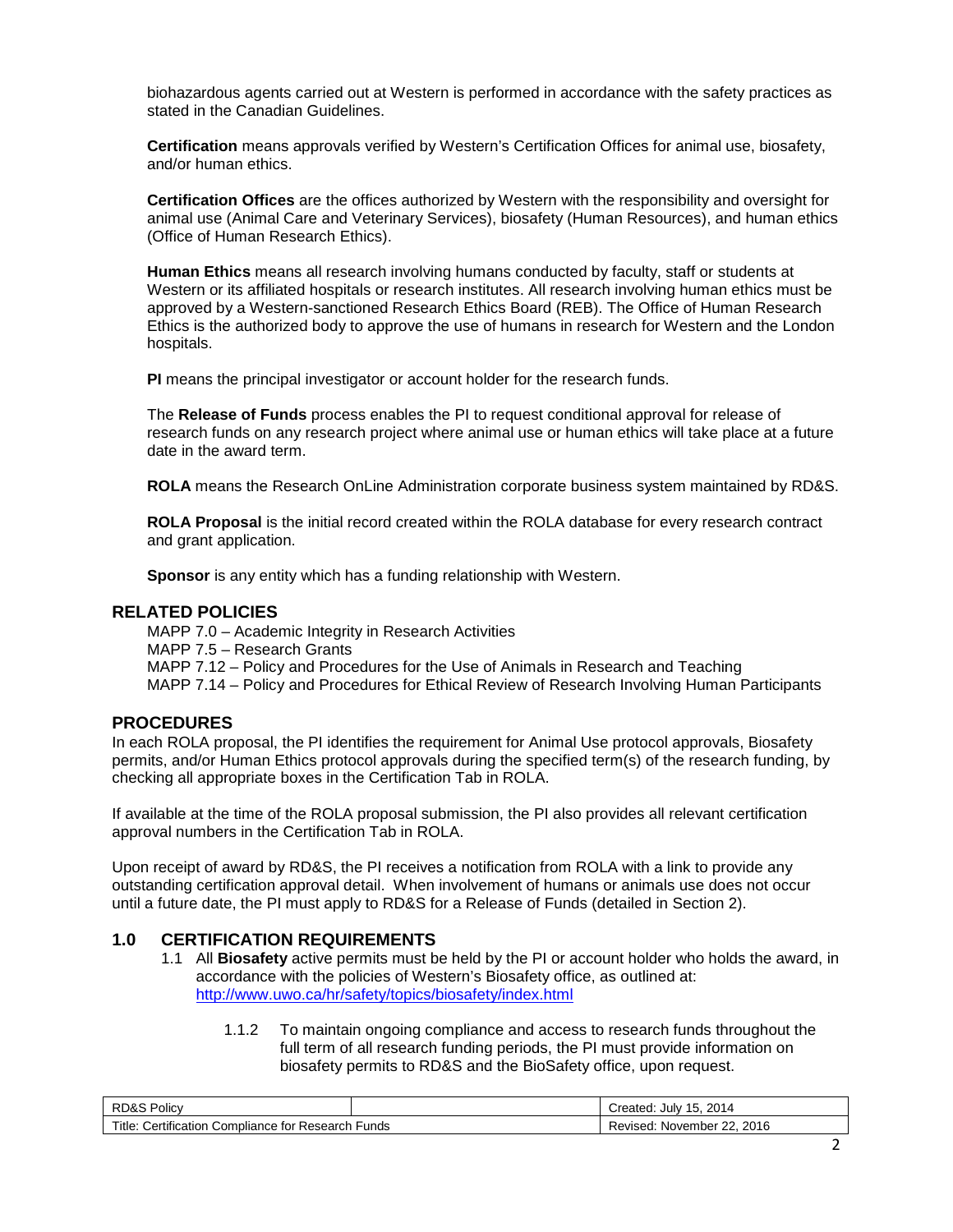biohazardous agents carried out at Western is performed in accordance with the safety practices as stated in the Canadian Guidelines.

**Certification** means approvals verified by Western's Certification Offices for animal use, biosafety, and/or human ethics.

**Certification Offices** are the offices authorized by Western with the responsibility and oversight for animal use (Animal Care and Veterinary Services), biosafety (Human Resources), and human ethics (Office of Human Research Ethics).

**Human Ethics** means all research involving humans conducted by faculty, staff or students at Western or its affiliated hospitals or research institutes. All research involving human ethics must be approved by a Western-sanctioned Research Ethics Board (REB). The Office of Human Research Ethics is the authorized body to approve the use of humans in research for Western and the London hospitals.

**PI** means the principal investigator or account holder for the research funds.

The **Release of Funds** process enables the PI to request conditional approval for release of research funds on any research project where animal use or human ethics will take place at a future date in the award term.

**ROLA** means the Research OnLine Administration corporate business system maintained by RD&S.

**ROLA Proposal** is the initial record created within the ROLA database for every research contract and grant application.

**Sponsor** is any entity which has a funding relationship with Western.

#### **RELATED POLICIES**

MAPP 7.0 – Academic Integrity in Research Activities MAPP 7.5 – Research Grants MAPP 7.12 – Policy and Procedures for the Use of Animals in Research and Teaching MAPP 7.14 – Policy and Procedures for Ethical Review of Research Involving Human Participants

#### **PROCEDURES**

In each ROLA proposal, the PI identifies the requirement for Animal Use protocol approvals, Biosafety permits, and/or Human Ethics protocol approvals during the specified term(s) of the research funding, by checking all appropriate boxes in the Certification Tab in ROLA.

If available at the time of the ROLA proposal submission, the PI also provides all relevant certification approval numbers in the Certification Tab in ROLA.

Upon receipt of award by RD&S, the PI receives a notification from ROLA with a link to provide any outstanding certification approval detail. When involvement of humans or animals use does not occur until a future date, the PI must apply to RD&S for a Release of Funds (detailed in Section 2).

#### **1.0 CERTIFICATION REQUIREMENTS**

- 1.1 All **Biosafety** active permits must be held by the PI or account holder who holds the award, in accordance with the policies of Western's Biosafety office, as outlined at: <http://www.uwo.ca/hr/safety/topics/biosafety/index.html>
	- 1.1.2 To maintain ongoing compliance and access to research funds throughout the full term of all research funding periods, the PI must provide information on biosafety permits to RD&S and the BioSafety office, upon request.

| Policv<br>RD&S                                                             |  | 2014<br>. –<br>15.<br>Created:<br>. Julv |
|----------------------------------------------------------------------------|--|------------------------------------------|
| .<br>⊿ Research ∶<br>∵ertification ب<br>า Funds<br>Compliance for<br>itle. |  | 2016<br>ົດ<br>November<br>⊀evised:       |